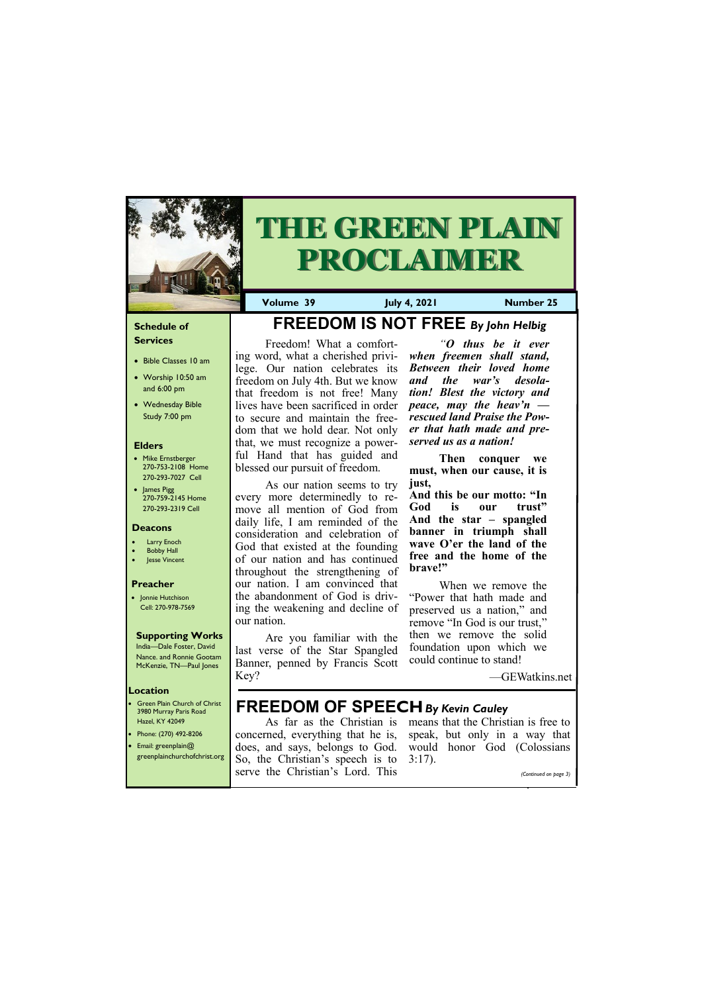## **Schedule of Services**

- Bible Classes 10 am
- Worship 10:50 am and 6:00 pm
- Wednesday Bible Study 7:00 pm

## **Elders**

- Mike Ernstberger 270-753-2108 Home 270-293-7027 Cell
- James Pigg 270-759-2145 Home 270-293-2319 Cell

- Green Plain Church of Christ 3980 Murray Paris Road Hazel, KY 42049 • Phone: (270) 492-8206
- Email: greenplain@

#### **Location**



# **THE GREEN PLAIN PROCLAIMER**

**Volume 39 July 4, 2021 Number 25**

#### **Deacons**

- **Larry Enoch**
- **Bobby Hall**
- Jesse Vincent

#### **Preacher**

• Jonnie Hutchison Cell: 270-978-7569

### **Supporting Works**

India—Dale Foster, David Nance. and Ronnie Gootam McKenzie, TN—Paul Jones

## **FREEDOM IS NOT FREE** *By John Helbig*

Freedom! What a comforting word, what a cherished privilege. Our nation celebrates its freedom on July 4th. But we know that freedom is not free! Many lives have been sacrificed in order to secure and maintain the freedom that we hold dear. Not only that, we must recognize a powerful Hand that has guided and blessed our pursuit of freedom.

As our nation seems to try every more determinedly to remove all mention of God from daily life, I am reminded of the consideration and celebration of God that existed at the founding of our nation and has continued throughout the strengthening of our nation. I am convinced that the abandonment of God is driving the weakening and decline of our nation.

| $\sqrt{\text{greenplain}$ churchofchrist.org So, the Christian's speech is to 3:17). |  |                       |
|--------------------------------------------------------------------------------------|--|-----------------------|
| serve the Christian's Lord. This                                                     |  | (Continued on page 3) |

Are you familiar with the last verse of the Star Spangled Banner, penned by Francis Scott Key?

*"O thus be it ever when freemen shall stand, Between their loved home and the war's desolation! Blest the victory and peace, may the heav'n rescued land Praise the Power that hath made and preserved us as a nation!*

**Then conquer we must, when our cause, it is just,**

**And this be our motto: "In God is our trust" And the star – spangled banner in triumph shall wave O'er the land of the free and the home of the brave!"**

When we remove the "Power that hath made and preserved us a nation," and remove "In God is our trust," then we remove the solid foundation upon which we could continue to stand!

—GEWatkins.net

## **FREEDOM OF SPEECH***By Kevin Cauley*

As far as the Christian is means that the Christian is free to concerned, everything that he is, speak, but only in a way that does, and says, belongs to God. would honor God (Colossians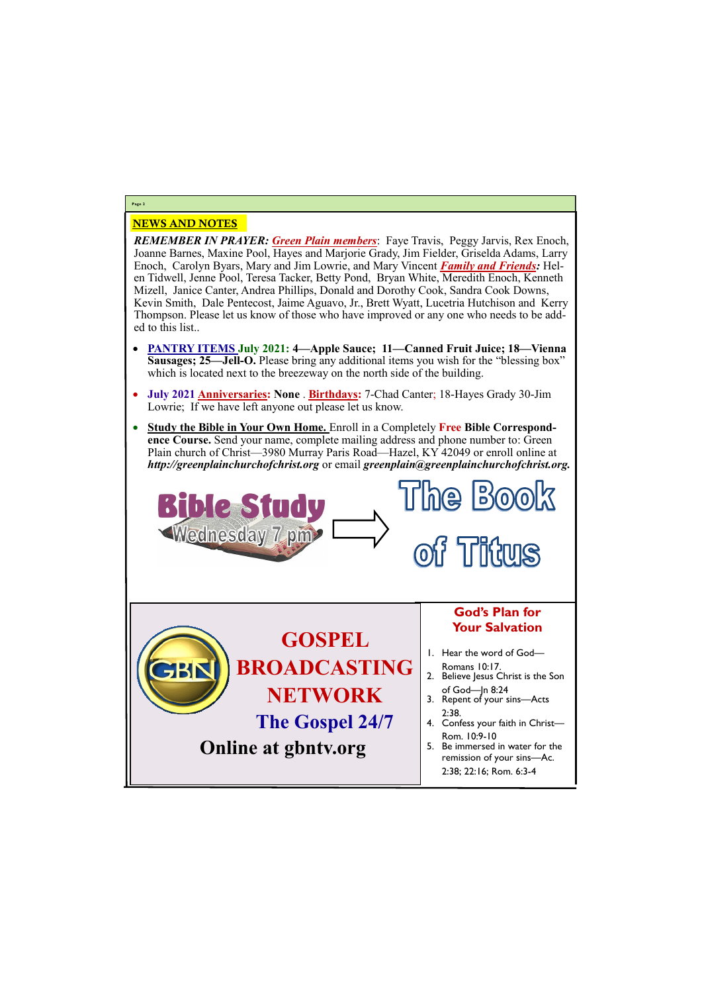## NEWS AND NOTES

*REMEMBER IN PRAYER: Green Plain members*: Faye Travis, Peggy Jarvis, Rex Enoch, Joanne Barnes, Maxine Pool, Hayes and Marjorie Grady, Jim Fielder, Griselda Adams, Larry Enoch, Carolyn Byars, Mary and Jim Lowrie, and Mary Vincent *Family and Friends:* Helen Tidwell, Jenne Pool, Teresa Tacker, Betty Pond, Bryan White, Meredith Enoch, Kenneth Mizell, Janice Canter, Andrea Phillips, Donald and Dorothy Cook, Sandra Cook Downs, Kevin Smith, Dale Pentecost, Jaime Aguavo, Jr., Brett Wyatt, Lucetria Hutchison and Kerry Thompson. Please let us know of those who have improved or any one who needs to be added to this list..

The Book **Bible Study** Wednesday 7 pm> **Fittus**  $\Omega$ **God's Plan for Your Salvation GOSPEL**  1. Hear the word of God— **BROADCASTING**  Romans 10:17. 2. Believe Jesus Christ is the Son **NETWORK** of God—Jn 8:24 3. Repent of your sins—Acts 2:38. **The Gospel 24/7** 4. Confess your faith in Christ— Rom. 10:9-10 **Online at gbntv.org** 5. Be immersed in water for the remission of your sins—Ac. 2:38; 22:16; Rom. 6:3-4

- **PANTRY ITEMS July 2021: 4—Apple Sauce; 11—Canned Fruit Juice; 18—Vienna Sausages; 25—Jell-O.** Please bring any additional items you wish for the "blessing box" which is located next to the breezeway on the north side of the building.
- **July 2021 Anniversaries: None** . **Birthdays:** 7-Chad Canter; 18-Hayes Grady 30-Jim Lowrie; If we have left anyone out please let us know.
- **Study the Bible in Your Own Home.** Enroll in a Completely **Free Bible Correspondence Course.** Send your name, complete mailing address and phone number to: Green Plain church of Christ—3980 Murray Paris Road—Hazel, KY 42049 or enroll online at *http://greenplainchurchofchrist.org* or email *greenplain@greenplainchurchofchrist.org.*

## **Page 2**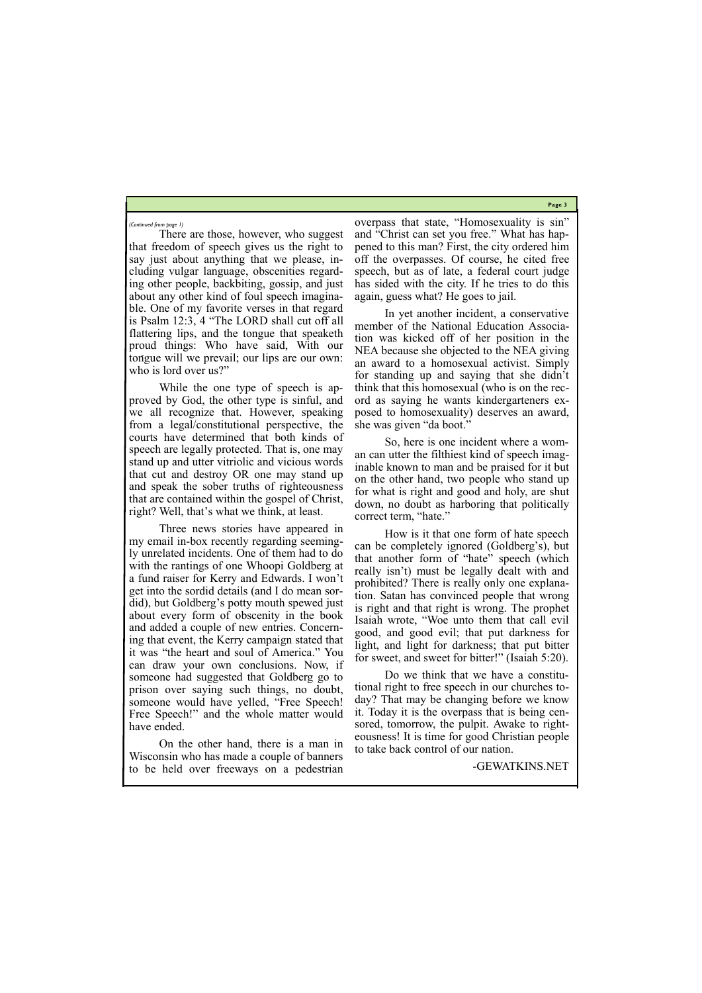**Page 3**

There are those, however, who suggest that freedom of speech gives us the right to say just about anything that we please, including vulgar language, obscenities regarding other people, backbiting, gossip, and just about any other kind of foul speech imaginable. One of my favorite verses in that regard is Psalm 12:3, 4 "The LORD shall cut off all flattering lips, and the tongue that speaketh proud things: Who have said, With our tongue will we prevail; our lips are our own: who is lord over us?"

While the one type of speech is approved by God, the other type is sinful, and we all recognize that. However, speaking from a legal/constitutional perspective, the courts have determined that both kinds of speech are legally protected. That is, one may stand up and utter vitriolic and vicious words that cut and destroy OR one may stand up and speak the sober truths of righteousness that are contained within the gospel of Christ, right? Well, that's what we think, at least.

Wisconsin who has made a couple of banners to be held over freeways on a pedestrian

Three news stories have appeared in my email in-box recently regarding seemingly unrelated incidents. One of them had to do with the rantings of one Whoopi Goldberg at a fund raiser for Kerry and Edwards. I won't get into the sordid details (and I do mean sordid), but Goldberg's potty mouth spewed just about every form of obscenity in the book and added a couple of new entries. Concerning that event, the Kerry campaign stated that it was "the heart and soul of America." You can draw your own conclusions. Now, if someone had suggested that Goldberg go to prison over saying such things, no doubt, someone would have yelled, "Free Speech! Free Speech!" and the whole matter would have ended.

On the other hand, there is a man in

overpass that state, "Homosexuality is sin" and "Christ can set you free." What has happened to this man? First, the city ordered him off the overpasses. Of course, he cited free speech, but as of late, a federal court judge has sided with the city. If he tries to do this again, guess what? He goes to jail.

In yet another incident, a conservative member of the National Education Association was kicked off of her position in the NEA because she objected to the NEA giving an award to a homosexual activist. Simply for standing up and saying that she didn't think that this homosexual (who is on the record as saying he wants kindergarteners exposed to homosexuality) deserves an award, she was given "da boot."

So, here is one incident where a woman can utter the filthiest kind of speech imaginable known to man and be praised for it but on the other hand, two people who stand up for what is right and good and holy, are shut down, no doubt as harboring that politically correct term, "hate."

How is it that one form of hate speech can be completely ignored (Goldberg's), but that another form of "hate" speech (which really isn't) must be legally dealt with and prohibited? There is really only one explanation. Satan has convinced people that wrong is right and that right is wrong. The prophet Isaiah wrote, "Woe unto them that call evil good, and good evil; that put darkness for light, and light for darkness; that put bitter for sweet, and sweet for bitter!" (Isaiah 5:20).

Do we think that we have a constitutional right to free speech in our churches today? That may be changing before we know it. Today it is the overpass that is being censored, tomorrow, the pulpit. Awake to righteousness! It is time for good Christian people to take back control of our nation.

-GEWATKINS.NET

*(Continued from page 1)*